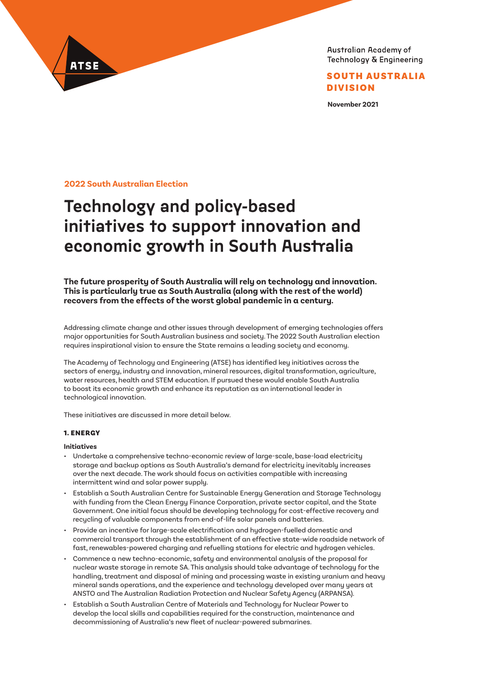

SOUTH AUSTRALIA DIVISION

**November 2021**

**2022 South Australian Election**

ATSE

# **Technology and policy-based initiatives to support innovation and economic growth in South Australia**

**The future prosperity of South Australia will rely on technology and innovation. This is particularly true as South Australia (along with the rest of the world) recovers from the effects of the worst global pandemic in a century.**

Addressing climate change and other issues through development of emerging technologies offers major opportunities for South Australian business and society. The 2022 South Australian election requires inspirational vision to ensure the State remains a leading society and economy.

The Academy of Technology and Engineering (ATSE) has identified key initiatives across the sectors of energy, industry and innovation, mineral resources, digital transformation, agriculture, water resources, health and STEM education. If pursued these would enable South Australia to boost its economic growth and enhance its reputation as an international leader in technological innovation.

These initiatives are discussed in more detail below.

## 1. ENERGY

#### **Initiatives**

- Undertake a comprehensive techno-economic review of large-scale, base-load electricity storage and backup options as South Australia's demand for electricity inevitably increases over the next decade. The work should focus on activities compatible with increasing intermittent wind and solar power supply.
- Establish a South Australian Centre for Sustainable Energy Generation and Storage Technology with funding from the Clean Energy Finance Corporation, private sector capital, and the State Government. One initial focus should be developing technology for cost-effective recovery and recycling of valuable components from end-of-life solar panels and batteries.
- Provide an incentive for large-scale electrification and hydrogen-fuelled domestic and commercial transport through the establishment of an effective state-wide roadside network of fast, renewables-powered charging and refuelling stations for electric and hydrogen vehicles.
- Commence a new techno-economic, safety and environmental analysis of the proposal for nuclear waste storage in remote SA. This analysis should take advantage of technology for the handling, treatment and disposal of mining and processing waste in existing uranium and heavy mineral sands operations, and the experience and technology developed over many years at ANSTO and The Australian Radiation Protection and Nuclear Safety Agency (ARPANSA).
- Establish a South Australian Centre of Materials and Technology for Nuclear Power to develop the local skills and capabilities required for the construction, maintenance and decommissioning of Australia's new fleet of nuclear-powered submarines.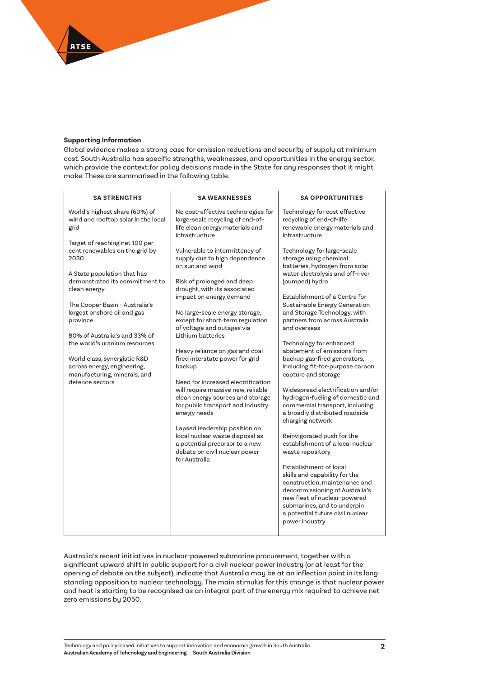## **Supporting Information**

ATSE

Global evidence makes a strong case for emission reductions and security of supply at minimum cost. South Australia has specific strengths, weaknesses, and opportunities in the energy sector, which provide the context for policy decisions made in the State for any responses that it might make. These are summarised in the following table.

| <b>SA STRENGTHS</b>                                                                                                                                                                                                                                                                                                                                                                                                        | <b>SA WEAKNESSES</b>                                                                                                                                                                                                                                                                                                                                                                                                                                                                                                                                                                                                                                                                                              | <b>SA OPPORTUNITIES</b>                                                                                                                                                                                                                                                                                                                                                                                                                                                                                                                                                                                                                                                                                                                                                                                                                                                                                    |
|----------------------------------------------------------------------------------------------------------------------------------------------------------------------------------------------------------------------------------------------------------------------------------------------------------------------------------------------------------------------------------------------------------------------------|-------------------------------------------------------------------------------------------------------------------------------------------------------------------------------------------------------------------------------------------------------------------------------------------------------------------------------------------------------------------------------------------------------------------------------------------------------------------------------------------------------------------------------------------------------------------------------------------------------------------------------------------------------------------------------------------------------------------|------------------------------------------------------------------------------------------------------------------------------------------------------------------------------------------------------------------------------------------------------------------------------------------------------------------------------------------------------------------------------------------------------------------------------------------------------------------------------------------------------------------------------------------------------------------------------------------------------------------------------------------------------------------------------------------------------------------------------------------------------------------------------------------------------------------------------------------------------------------------------------------------------------|
| World's highest share (60%) of<br>wind and rooftop solar in the local<br>grid                                                                                                                                                                                                                                                                                                                                              | No cost-effective technologies for<br>large-scale recycling of end-of-<br>life clean energy materials and<br>infrastructure                                                                                                                                                                                                                                                                                                                                                                                                                                                                                                                                                                                       | Technology for cost effective<br>recycling of end-of-life<br>renewable energy materials and<br>infrastructure                                                                                                                                                                                                                                                                                                                                                                                                                                                                                                                                                                                                                                                                                                                                                                                              |
| Target of reaching net 100 per<br>cent renewables on the grid by<br>2030<br>A State population that has<br>demonstrated its commitment to<br>clean energy<br>The Cooper Basin - Australia's<br>largest onshore oil and gas<br>province<br>80% of Australia's and 33% of<br>the world's uranium resources<br>World class, synergistic R&D<br>across energy, engineering,<br>manufacturing, minerals, and<br>defence sectors | Vulnerable to intermittency of<br>supply due to high dependence<br>on sun and wind<br>Risk of prolonged and deep<br>drought, with its associated<br>impact on energy demand<br>No large-scale energy storage,<br>except for short-term regulation<br>of voltage and outages via<br>Lithium batteries<br>Heavy reliance on gas and coal-<br>fired interstate power for grid<br>backup<br>Need for increased electrification<br>will require massive new, reliable<br>clean energy sources and storage<br>for public transport and industry<br>energy needs<br>Lapsed leadership position on<br>local nuclear waste disposal as<br>a potential precursor to a new<br>debate on civil nuclear power<br>for Australia | Technology for large-scale<br>storage using chemical<br>batteries, hydrogen from solar<br>water electrolysis and off-river<br>(pumped) hydro<br>Establishment of a Centre for<br>Sustainable Energy Generation<br>and Storage Technology, with<br>partners from across Australia<br>and overseas<br>Technology for enhanced<br>abatement of emissions from<br>backup gas-fired generators,<br>including fit-for-purpose carbon<br>capture and storage<br>Widespread electrification and/or<br>hydrogen-fueling of domestic and<br>commercial transport, including<br>a broadly distributed roadside<br>charging network<br>Reinvigorated push for the<br>establishment of a local nuclear<br>waste repository<br>Establishment of local<br>skills and capability for the<br>construction, maintenance and<br>decommissioning of Australia's<br>new fleet of nuclear-powered<br>submarines, and to underpin |
|                                                                                                                                                                                                                                                                                                                                                                                                                            |                                                                                                                                                                                                                                                                                                                                                                                                                                                                                                                                                                                                                                                                                                                   | a potential future civil nuclear<br>power industry                                                                                                                                                                                                                                                                                                                                                                                                                                                                                                                                                                                                                                                                                                                                                                                                                                                         |

Australia's recent initiatives in nuclear-powered submarine procurement, together with a significant upward shift in public support for a civil nuclear power industry (or at least for the opening of debate on the subject), indicate that Australia may be at an inflection point in its longstanding opposition to nuclear technology. The main stimulus for this change is that nuclear power and heat is starting to be recognised as an integral part of the energy mix required to achieve net zero emissions by 2050.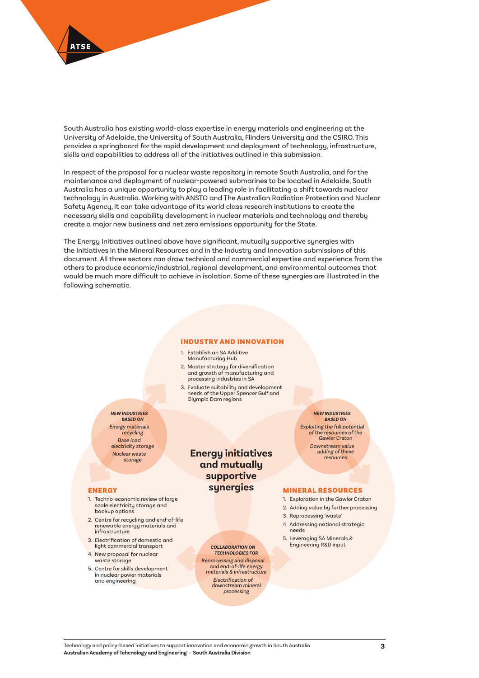

South Australia has existing world-class expertise in energy materials and engineering at the University of Adelaide, the University of South Australia, Flinders University and the CSIRO. This provides a springboard for the rapid development and deployment of technology, infrastructure, skills and capabilities to address all of the initiatives outlined in this submission.

In respect of the proposal for a nuclear waste repository in remote South Australia, and for the maintenance and deployment of nuclear-powered submarines to be located in Adelaide, South Australia has a unique opportunity to play a leading role in facilitating a shift towards nuclear technology in Australia. Working with ANSTO and The Australian Radiation Protection and Nuclear Safety Agency, it can take advantage of its world class research institutions to create the necessary skills and capability development in nuclear materials and technology and thereby create a major new business and net zero emissions opportunity for the State.

The Energy Initiatives outlined above have significant, mutually supportive synergies with the Initiatives in the Mineral Resources and in the Industry and Innovation submissions of this document. All three sectors can draw technical and commercial expertise and experience from the others to produce economic/industrial, regional development, and environmental outcomes that would be much more difficult to achieve in isolation. Some of these synergies are illustrated in the following schematic.

#### INDUSTRY AND INNOVATION

- 1. Establish an SA Additive Manufacturing Hub
- 2. Master strategy for diversification and growth of manufacturing and processing industries in SA
- 3. Evaluate suitability and development needs of the Upper Spencer Gulf and Olympic Dam regions

*NEW INDUSTRIES BASED ON Energy materials recycling Base load electricity storage Nuclear waste storage*

#### ENERGY

- 1. Techno-economic review of large scale electricity storage and backup options
- 2. Centre for recycling and end-of-life renewable energy materials and infrastructure
- 3. Electrification of domestic and light commercial transport
- 4. New proposal for nuclear waste storage
- 5. Centre for skills development in nuclear power materials and engineering

**Energy initiatives and mutually supportive synergies**

> *COLLABORATION ON TECHNOLOGIES FOR Reprocessing and disposal and end-of-life energy materials & infrastructure Electrification of downstream mineral processing*

*BASED ON Exploiting the full potential of the resources of the Gawler Craton Downstream value adding of these resources*

*NEW INDUSTRIES* 

#### MINERAL RESOURCES

- 1. Exploration in the Gawler Craton
- 2. Adding value by further processing
- 3. Reprocessing 'waste'
- 4. Addressing national strategic needs
- 5. Leveraging SA Minerals & Engineering R&D input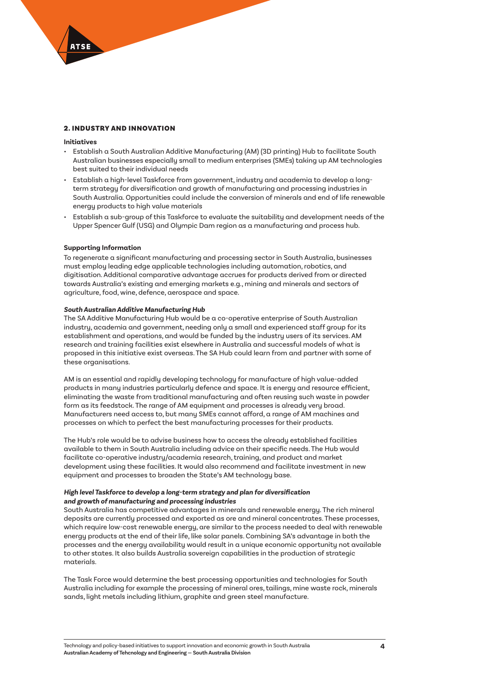## 2. INDUSTRY AND INNOVATION

## **Initiatives**

- Establish a South Australian Additive Manufacturing (AM) (3D printing) Hub to facilitate South Australian businesses especially small to medium enterprises (SMEs) taking up AM technologies best suited to their individual needs
- Establish a high-level Taskforce from government, industry and academia to develop a longterm strategy for diversification and growth of manufacturing and processing industries in South Australia. Opportunities could include the conversion of minerals and end of life renewable energy products to high value materials
- Establish a sub-group of this Taskforce to evaluate the suitability and development needs of the Upper Spencer Gulf (USG) and Olympic Dam region as a manufacturing and process hub.

## **Supporting Information**

To regenerate a significant manufacturing and processing sector in South Australia, businesses must employ leading edge applicable technologies including automation, robotics, and digitisation. Additional comparative advantage accrues for products derived from or directed towards Australia's existing and emerging markets e.g., mining and minerals and sectors of agriculture, food, wine, defence, aerospace and space.

#### *South Australian Additive Manufacturing Hub*

The SA Additive Manufacturing Hub would be a co-operative enterprise of South Australian industry, academia and government, needing only a small and experienced staff group for its establishment and operations, and would be funded by the industry users of its services. AM research and training facilities exist elsewhere in Australia and successful models of what is proposed in this initiative exist overseas. The SA Hub could learn from and partner with some of these organisations.

AM is an essential and rapidly developing technology for manufacture of high value-added products in many industries particularly defence and space. It is energy and resource efficient, eliminating the waste from traditional manufacturing and often reusing such waste in powder form as its feedstock. The range of AM equipment and processes is already very broad. Manufacturers need access to, but many SMEs cannot afford, a range of AM machines and processes on which to perfect the best manufacturing processes for their products.

The Hub's role would be to advise business how to access the already established facilities available to them in South Australia including advice on their specific needs. The Hub would facilitate co-operative industry/academia research, training, and product and market development using these facilities. It would also recommend and facilitate investment in new equipment and processes to broaden the State's AM technology base.

## *High level Taskforce to develop a long-term strategy and plan for diversification and growth of manufacturing and processing industries*

South Australia has competitive advantages in minerals and renewable energy. The rich mineral deposits are currently processed and exported as ore and mineral concentrates. These processes, which require low-cost renewable energy, are similar to the process needed to deal with renewable energy products at the end of their life, like solar panels. Combining SA's advantage in both the processes and the energy availability would result in a unique economic opportunity not available to other states. It also builds Australia sovereign capabilities in the production of strategic materials.

The Task Force would determine the best processing opportunities and technologies for South Australia including for example the processing of mineral ores, tailings, mine waste rock, minerals sands, light metals including lithium, graphite and green steel manufacture.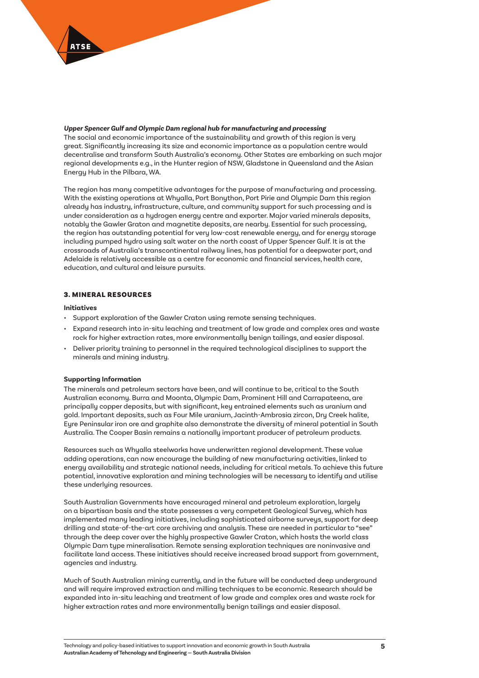

## *Upper Spencer Gulf and Olympic Dam regional hub for manufacturing and processing*

The social and economic importance of the sustainability and growth of this region is very great. Significantly increasing its size and economic importance as a population centre would decentralise and transform South Australia's economy. Other States are embarking on such major regional developments e.g., in the Hunter region of NSW, Gladstone in Queensland and the Asian Energy Hub in the Pilbara, WA.

The region has many competitive advantages for the purpose of manufacturing and processing. With the existing operations at Whyalla, Port Bonython, Port Pirie and Olympic Dam this region already has industry, infrastructure, culture, and community support for such processing and is under consideration as a hydrogen energy centre and exporter. Major varied minerals deposits, notably the Gawler Graton and magnetite deposits, are nearby. Essential for such processing, the region has outstanding potential for very low-cost renewable energy, and for energy storage including pumped hydro using salt water on the north coast of Upper Spencer Gulf. It is at the crossroads of Australia's transcontinental railway lines, has potential for a deepwater port, and Adelaide is relatively accessible as a centre for economic and financial services, health care, education, and cultural and leisure pursuits.

## 3. MINERAL RESOURCES

## **Initiatives**

- Support exploration of the Gawler Craton using remote sensing techniques.
- Expand research into in-situ leaching and treatment of low grade and complex ores and waste rock for higher extraction rates, more environmentally benign tailings, and easier disposal.
- Deliver priority training to personnel in the required technological disciplines to support the minerals and mining industry.

## **Supporting Information**

The minerals and petroleum sectors have been, and will continue to be, critical to the South Australian economy. Burra and Moonta, Olympic Dam, Prominent Hill and Carrapateena, are principally copper deposits, but with significant, key entrained elements such as uranium and gold. Important deposits, such as Four Mile uranium, Jacinth-Ambrosia zircon, Dry Creek halite, Eyre Peninsular iron ore and graphite also demonstrate the diversity of mineral potential in South Australia. The Cooper Basin remains a nationally important producer of petroleum products.

Resources such as Whyalla steelworks have underwritten regional development. These value adding operations, can now encourage the building of new manufacturing activities, linked to energy availability and strategic national needs, including for critical metals. To achieve this future potential, innovative exploration and mining technologies will be necessary to identify and utilise these underlying resources.

South Australian Governments have encouraged mineral and petroleum exploration, largely on a bipartisan basis and the state possesses a very competent Geological Survey, which has implemented many leading initiatives, including sophisticated airborne surveys, support for deep drilling and state-of-the-art core archiving and analysis. These are needed in particular to "see" through the deep cover over the highly prospective Gawler Craton, which hosts the world class Olympic Dam type mineralisation. Remote sensing exploration techniques are noninvasive and facilitate land access. These initiatives should receive increased broad support from government, agencies and industry.

Much of South Australian mining currently, and in the future will be conducted deep underground and will require improved extraction and milling techniques to be economic. Research should be expanded into in-situ leaching and treatment of low grade and complex ores and waste rock for higher extraction rates and more environmentally benign tailings and easier disposal.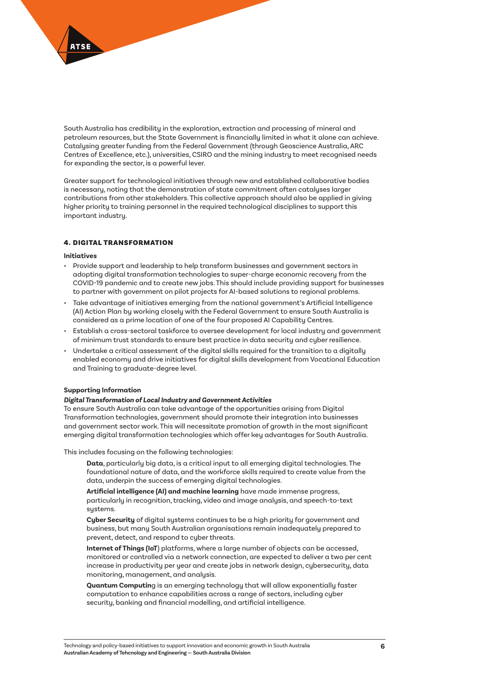

South Australia has credibility in the exploration, extraction and processing of mineral and petroleum resources, but the State Government is financially limited in what it alone can achieve. Catalysing greater funding from the Federal Government (through Geoscience Australia, ARC Centres of Excellence, etc.), universities, CSIRO and the mining industry to meet recognised needs for expanding the sector, is a powerful lever.

Greater support for technological initiatives through new and established collaborative bodies is necessary, noting that the demonstration of state commitment often catalyses larger contributions from other stakeholders. This collective approach should also be applied in giving higher priority to training personnel in the required technological disciplines to support this important industry.

## 4. DIGITAL TRANSFORMATION

#### **Initiatives**

- Provide support and leadership to help transform businesses and government sectors in adopting digital transformation technologies to super-charge economic recovery from the COVID-19 pandemic and to create new jobs. This should include providing support for businesses to partner with government on pilot projects for AI-based solutions to regional problems.
- Take advantage of initiatives emerging from the national government's Artificial Intelligence (AI) Action Plan by working closely with the Federal Government to ensure South Australia is considered as a prime location of one of the four proposed AI Capability Centres.
- Establish a cross-sectoral taskforce to oversee development for local industry and government of minimum trust standards to ensure best practice in data security and cyber resilience.
- Undertake a critical assessment of the digital skills required for the transition to a digitally enabled economy and drive initiatives for digital skills development from Vocational Education and Training to graduate-degree level.

## **Supporting Information**

## *Digital Transformation of Local Industry and Government Activities*

To ensure South Australia can take advantage of the opportunities arising from Digital Transformation technologies, government should promote their integration into businesses and government sector work. This will necessitate promotion of growth in the most significant emerging digital transformation technologies which offer key advantages for South Australia.

This includes focusing on the following technologies:

**Data**, particularly big data, is a critical input to all emerging digital technologies. The foundational nature of data, and the workforce skills required to create value from the data, underpin the success of emerging digital technologies.

**Artificial intelligence (AI) and machine learning** have made immense progress, particularly in recognition, tracking, video and image analysis, and speech-to-text sustems

**Cyber Security** of digital systems continues to be a high priority for government and business, but many South Australian organisations remain inadequately prepared to prevent, detect, and respond to cyber threats.

**Internet of Things (IoT**) platforms, where a large number of objects can be accessed, monitored or controlled via a network connection, are expected to deliver a two per cent increase in productivity per year and create jobs in network design, cybersecurity, data monitoring, management, and analysis.

**Quantum Computin**g is an emerging technology that will allow exponentially faster computation to enhance capabilities across a range of sectors, including cyber security, banking and financial modelling, and artificial intelligence.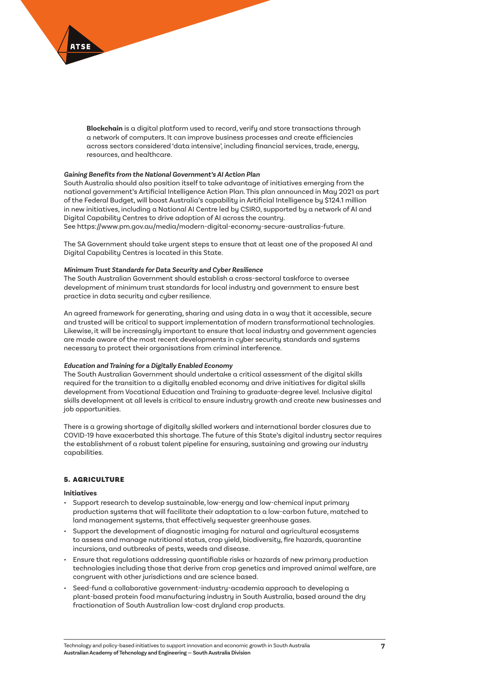

**Blockchain** is a digital platform used to record, verify and store transactions through a network of computers. It can improve business processes and create efficiencies across sectors considered 'data intensive', including financial services, trade, energy, resources, and healthcare.

## *Gaining Benefits from the National Government's AI Action Plan*

South Australia should also position itself to take advantage of initiatives emerging from the national government's Artificial Intelligence Action Plan. This plan announced in May 2021 as part of the Federal Budget, will boost Australia's capability in Artificial Intelligence by \$124.1 million in new initiatives, including a National AI Centre led by CSIRO, supported by a network of AI and Digital Capability Centres to drive adoption of AI across the country. See https://www.pm.gov.au/media/modern-digital-economy-secure-australias-future.

The SA Government should take urgent steps to ensure that at least one of the proposed AI and Digital Capability Centres is located in this State.

#### *Minimum Trust Standards for Data Security and Cyber Resilience*

The South Australian Government should establish a cross-sectoral taskforce to oversee development of minimum trust standards for local industry and government to ensure best practice in data security and cyber resilience.

An agreed framework for generating, sharing and using data in a way that it accessible, secure and trusted will be critical to support implementation of modern transformational technologies. Likewise, it will be increasingly important to ensure that local industry and government agencies are made aware of the most recent developments in cyber security standards and systems necessary to protect their organisations from criminal interference.

#### *Education and Training for a Digitally Enabled Economy*

The South Australian Government should undertake a critical assessment of the digital skills required for the transition to a digitally enabled economy and drive initiatives for digital skills development from Vocational Education and Training to graduate-degree level. Inclusive digital skills development at all levels is critical to ensure industry growth and create new businesses and job opportunities.

There is a growing shortage of digitally skilled workers and international border closures due to COVID-19 have exacerbated this shortage. The future of this State's digital industry sector requires the establishment of a robust talent pipeline for ensuring, sustaining and growing our industry capabilities.

## 5. AGRICULTURE

## **Initiatives**

- Support research to develop sustainable, low-energy and low-chemical input primary production systems that will facilitate their adaptation to a low-carbon future, matched to land management systems, that effectively sequester greenhouse gases.
- Support the development of diagnostic imaging for natural and agricultural ecosystems to assess and manage nutritional status, crop yield, biodiversity, fire hazards, quarantine incursions, and outbreaks of pests, weeds and disease.
- Ensure that regulations addressing quantifiable risks or hazards of new primary production technologies including those that derive from crop genetics and improved animal welfare, are congruent with other jurisdictions and are science based.
- Seed-fund a collaborative government-industry-academia approach to developing a plant-based protein food manufacturing industry in South Australia, based around the dry fractionation of South Australian low-cost dryland crop products.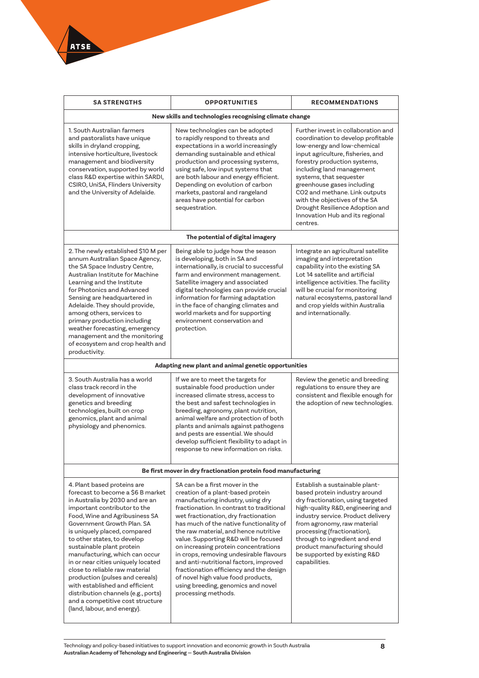

| <b>SA STRENGTHS</b>                                                                                                                                                                                                                                                                                                                                                                                                                                                                                                                                                                      | <b>OPPORTUNITIES</b>                                                                                                                                                                                                                                                                                                                                                                                                                                                                                                                                                                                  | <b>RECOMMENDATIONS</b>                                                                                                                                                                                                                                                                                                                                                                                                  |  |
|------------------------------------------------------------------------------------------------------------------------------------------------------------------------------------------------------------------------------------------------------------------------------------------------------------------------------------------------------------------------------------------------------------------------------------------------------------------------------------------------------------------------------------------------------------------------------------------|-------------------------------------------------------------------------------------------------------------------------------------------------------------------------------------------------------------------------------------------------------------------------------------------------------------------------------------------------------------------------------------------------------------------------------------------------------------------------------------------------------------------------------------------------------------------------------------------------------|-------------------------------------------------------------------------------------------------------------------------------------------------------------------------------------------------------------------------------------------------------------------------------------------------------------------------------------------------------------------------------------------------------------------------|--|
|                                                                                                                                                                                                                                                                                                                                                                                                                                                                                                                                                                                          | New skills and technologies recognising climate change                                                                                                                                                                                                                                                                                                                                                                                                                                                                                                                                                |                                                                                                                                                                                                                                                                                                                                                                                                                         |  |
| 1. South Australian farmers<br>and pastoralists have unique<br>skills in dryland cropping,<br>intensive horticulture, livestock<br>management and biodiversity<br>conservation, supported by world<br>class R&D expertise within SARDI,<br>CSIRO, UniSA, Flinders University<br>and the University of Adelaide.                                                                                                                                                                                                                                                                          | New technologies can be adopted<br>to rapidly respond to threats and<br>expectations in a world increasingly<br>demanding sustainable and ethical<br>production and processing systems,<br>using safe, low input systems that<br>are both labour and energy efficient.<br>Depending on evolution of carbon<br>markets, pastoral and rangeland<br>areas have potential for carbon<br>sequestration.                                                                                                                                                                                                    | Further invest in collaboration and<br>coordination to develop profitable<br>low-energy and low-chemical<br>input agriculture, fisheries, and<br>forestry production systems,<br>including land management<br>systems, that sequester<br>greenhouse gases including<br>CO2 and methane. Link outputs<br>with the objectives of the SA<br>Drought Resilience Adoption and<br>Innovation Hub and its regional<br>centres. |  |
| The potential of digital imagery                                                                                                                                                                                                                                                                                                                                                                                                                                                                                                                                                         |                                                                                                                                                                                                                                                                                                                                                                                                                                                                                                                                                                                                       |                                                                                                                                                                                                                                                                                                                                                                                                                         |  |
| 2. The newly established \$10 M per<br>annum Australian Space Agency,<br>the SA Space Industry Centre,<br>Australian Institute for Machine<br>Learning and the Institute<br>for Photonics and Advanced<br>Sensing are headquartered in<br>Adelaide. They should provide,<br>among others, services to<br>primary production including<br>weather forecasting, emergency<br>management and the monitoring<br>of ecosystem and crop health and<br>productivity.                                                                                                                            | Being able to judge how the season<br>is developing, both in SA and<br>internationally, is crucial to successful<br>farm and environment management.<br>Satellite imagery and associated<br>digital technologies can provide crucial<br>information for farming adaptation<br>in the face of changing climates and<br>world markets and for supporting<br>environment conservation and<br>protection.                                                                                                                                                                                                 | Integrate an agricultural satellite<br>imaging and interpretation<br>capability into the existing SA<br>Lot 14 satellite and artificial<br>intelligence activities. The facility<br>will be crucial for monitoring<br>natural ecosystems, pastoral land<br>and crop yields within Australia<br>and internationally.                                                                                                     |  |
| Adapting new plant and animal genetic opportunities                                                                                                                                                                                                                                                                                                                                                                                                                                                                                                                                      |                                                                                                                                                                                                                                                                                                                                                                                                                                                                                                                                                                                                       |                                                                                                                                                                                                                                                                                                                                                                                                                         |  |
| 3. South Australia has a world<br>class track record in the<br>development of innovative<br>genetics and breeding<br>technologies, built on crop<br>genomics, plant and animal<br>physiology and phenomics.                                                                                                                                                                                                                                                                                                                                                                              | If we are to meet the targets for<br>sustainable food production under<br>increased climate stress, access to<br>the best and safest technologies in<br>breeding, agronomy, plant nutrition,<br>animal welfare and protection of both<br>plants and animals against pathogens<br>and pests are essential. We should<br>develop sufficient flexibility to adapt in<br>response to new information on risks.                                                                                                                                                                                            | Review the genetic and breeding<br>regulations to ensure they are<br>consistent and flexible enough for<br>the adoption of new technologies.                                                                                                                                                                                                                                                                            |  |
| Be first mover in dry fractionation protein food manufacturing                                                                                                                                                                                                                                                                                                                                                                                                                                                                                                                           |                                                                                                                                                                                                                                                                                                                                                                                                                                                                                                                                                                                                       |                                                                                                                                                                                                                                                                                                                                                                                                                         |  |
| 4. Plant based proteins are<br>forecast to become a \$6 B market<br>in Australia by 2030 and are an<br>important contributor to the<br>Food, Wine and Agribusiness SA<br>Government Growth Plan, SA<br>is uniquely placed, compared<br>to other states, to develop<br>sustainable plant protein<br>manufacturing, which can occur<br>in or near cities uniquely located<br>close to reliable raw material<br>production (pulses and cereals)<br>with established and efficient<br>distribution channels (e.g., ports)<br>and a competitive cost structure<br>(land, labour, and energy). | SA can be a first mover in the<br>creation of a plant-based protein<br>manufacturing industry, using dry<br>fractionation. In contrast to traditional<br>wet fractionation, dry fractionation<br>has much of the native functionality of<br>the raw material, and hence nutritive<br>value. Supporting R&D will be focused<br>on increasing protein concentrations<br>in crops, removing undesirable flavours<br>and anti-nutritional factors, improved<br>fractionation efficiency and the design<br>of novel high value food products,<br>using breeding, genomics and novel<br>processing methods. | Establish a sustainable plant-<br>based protein industry around<br>dry fractionation, using targeted<br>high-quality R&D, engineering and<br>industry service. Product delivery<br>from agronomy, raw material<br>processing (fractionation),<br>through to ingredient and end<br>product manufacturing should<br>be supported by existing R&D<br>capabilities.                                                         |  |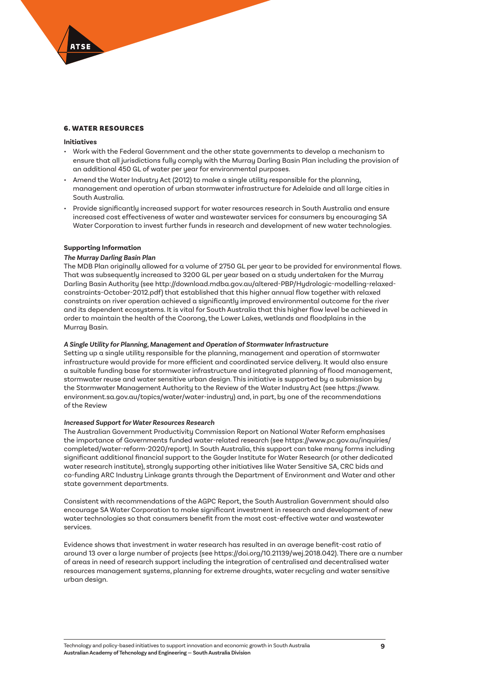## 6. WATER RESOURCES

## **Initiatives**

- Work with the Federal Government and the other state governments to develop a mechanism to ensure that all jurisdictions fully comply with the Murray Darling Basin Plan including the provision of an additional 450 GL of water per year for environmental purposes.
- Amend the Water Industry Act (2012) to make a single utility responsible for the planning, management and operation of urban stormwater infrastructure for Adelaide and all large cities in South Australia.
- Provide significantly increased support for water resources research in South Australia and ensure increased cost effectiveness of water and wastewater services for consumers by encouraging SA Water Corporation to invest further funds in research and development of new water technologies.

## **Supporting Information**

#### *The Murray Darling Basin Plan*

The MDB Plan originally allowed for a volume of 2750 GL per year to be provided for environmental flows. That was subsequently increased to 3200 GL per year based on a study undertaken for the Murray Darling Basin Authority (see http://download.mdba.gov.au/altered-PBP/Hydrologic-modelling-relaxedconstraints-October-2012.pdf) that established that this higher annual flow together with relaxed constraints on river operation achieved a significantly improved environmental outcome for the river and its dependent ecosystems. It is vital for South Australia that this higher flow level be achieved in order to maintain the health of the Coorong, the Lower Lakes, wetlands and floodplains in the Murray Basin.

## *A Single Utility for Planning, Management and Operation of Stormwater Infrastructure*

Setting up a single utility responsible for the planning, management and operation of stormwater infrastructure would provide for more efficient and coordinated service delivery. It would also ensure a suitable funding base for stormwater infrastructure and integrated planning of flood management, stormwater reuse and water sensitive urban design. This initiative is supported by a submission by the Stormwater Management Authority to the [Review of the Water Industry Act](https://www.environment.sa.gov.au/topics/water/water-industry) (see https://www. environment.sa.gov.au/topics/water/water-industry) and, in part, by one of the recommendations of the Review

## *Increased Support for Water Resources Research*

The [Australian Government Productivity Commission Report on National Water Reform](https://www.pc.gov.au/inquiries/completed/water-reform-2020/report) emphasises the importance of Governments funded water-related research (see https://www.pc.gov.au/inquiries/ completed/water-reform-2020/report). In South Australia, this support can take many forms including significant additional financial support to the Goyder Institute for Water Research (or other dedicated water research institute), strongly supporting other initiatives like Water Sensitive SA, CRC bids and co-funding ARC Industry Linkage grants through the Department of Environment and Water and other state government departments.

Consistent with recommendations of the AGPC Report, the South Australian Government should also encourage SA Water Corporation to make significant investment in research and development of new water technologies so that consumers benefit from the most cost-effective water and wastewater services.

Evidence shows that investment in water research has resulted in an average benefit-cost ratio of around 13 over a large number of projects (see https://doi.org/10.21139/wej.2018.042). There are a number of areas in need of research support including the integration of centralised and decentralised water resources management systems, planning for extreme droughts, water recycling and water sensitive urban design.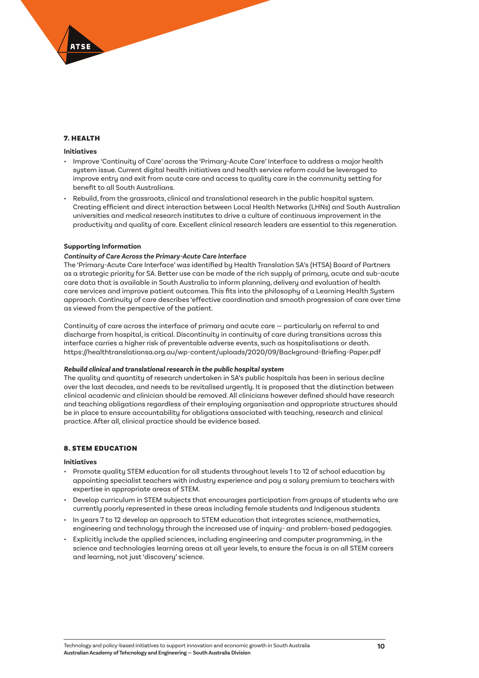## 7. HEALTH

### **Initiatives**

- Improve 'Continuity of Care' across the 'Primary-Acute Care' Interface to address a major health system issue. Current digital health initiatives and health service reform could be leveraged to improve entry and exit from acute care and access to quality care in the community setting for benefit to all South Australians.
- Rebuild, from the grassroots, clinical and translational research in the public hospital system. Creating efficient and direct interaction between Local Health Networks (LHNs) and South Australian universities and medical research institutes to drive a culture of continuous improvement in the productivity and quality of care. Excellent clinical research leaders are essential to this regeneration.

## **Supporting Information**

#### *Continuity of Care Across the Primary-Acute Care Interface*

The 'Primary-Acute Care Interface' was identified by [Health Translation SA](https://healthtranslationsa.org.au/wp-content/uploads/2020/09/Background-Briefing-Paper.pdf)'s (HTSA) Board of Partners as a strategic priority for SA. Better use can be made of the rich supply of primary, acute and sub-acute care data that is available in South Australia to inform planning, delivery and evaluation of health care services and improve patient outcomes. This fits into the philosophy of a Learning Health System approach. Continuity of care describes 'effective coordination and smooth progression of care over time as viewed from the perspective of the patient.

Continuity of care across the interface of primary and acute care — particularly on referral to and discharge from hospital, is critical. Discontinuity in continuity of care during transitions across this interface carries a higher risk of preventable adverse events, such as hospitalisations or death. https://healthtranslationsa.org.au/wp-content/uploads/2020/09/Background-Briefing-Paper.pdf

#### *Rebuild clinical and translational research in the public hospital system*

The quality and quantity of research undertaken in SA's public hospitals has been in serious decline over the last decades, and needs to be revitalised urgently. It is proposed that the distinction between clinical academic and clinician should be removed. All clinicians however defined should have research and teaching obligations regardless of their employing organisation and appropriate structures should be in place to ensure accountability for obligations associated with teaching, research and clinical practice. After all, clinical practice should be evidence based.

## 8. STEM EDUCATION

### **Initiatives**

- Promote quality STEM education for all students throughout levels 1 to 12 of school education by appointing specialist teachers with industry experience and pay a salary premium to teachers with expertise in appropriate areas of STEM.
- Develop curriculum in STEM subjects that encourages participation from groups of students who are currently poorly represented in these areas including female students and Indigenous students
- In years 7 to 12 develop an approach to STEM education that integrates science, mathematics, engineering and technology through the increased use of inquiry- and problem-based pedagogies.
- Explicitly include the applied sciences, including engineering and computer programming, in the science and technologies learning areas at all year levels, to ensure the focus is on all STEM careers and learning, not just 'discovery' science.